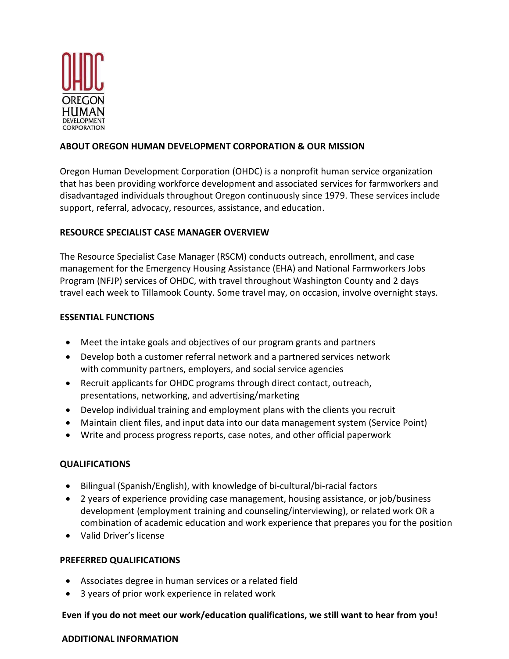

## **ABOUT OREGON HUMAN DEVELOPMENT CORPORATION & OUR MISSION**

Oregon Human Development Corporation (OHDC) is a nonprofit human service organization that has been providing workforce development and associated services for farmworkers and disadvantaged individuals throughout Oregon continuously since 1979. These services include support, referral, advocacy, resources, assistance, and education.

### **RESOURCE SPECIALIST CASE MANAGER OVERVIEW**

The Resource Specialist Case Manager (RSCM) conducts outreach, enrollment, and case management for the Emergency Housing Assistance (EHA) and National Farmworkers Jobs Program (NFJP) services of OHDC, with travel throughout Washington County and 2 days travel each week to Tillamook County. Some travel may, on occasion, involve overnight stays.

### **ESSENTIAL FUNCTIONS**

- Meet the intake goals and objectives of our program grants and partners
- Develop both a customer referral network and a partnered services network with community partners, employers, and social service agencies
- Recruit applicants for OHDC programs through direct contact, outreach, presentations, networking, and advertising/marketing
- Develop individual training and employment plans with the clients you recruit
- Maintain client files, and input data into our data management system (Service Point)
- Write and process progress reports, case notes, and other official paperwork

# **QUALIFICATIONS**

- Bilingual (Spanish/English), with knowledge of bi-cultural/bi-racial factors
- 2 years of experience providing case management, housing assistance, or job/business development (employment training and counseling/interviewing), or related work OR a combination of academic education and work experience that prepares you for the position
- Valid Driver's license

### **PREFERRED QUALIFICATIONS**

- Associates degree in human services or a related field
- 3 years of prior work experience in related work

### **Even if you do not meet our work/education qualifications, we still want to hear from you!**

#### **ADDITIONAL INFORMATION**